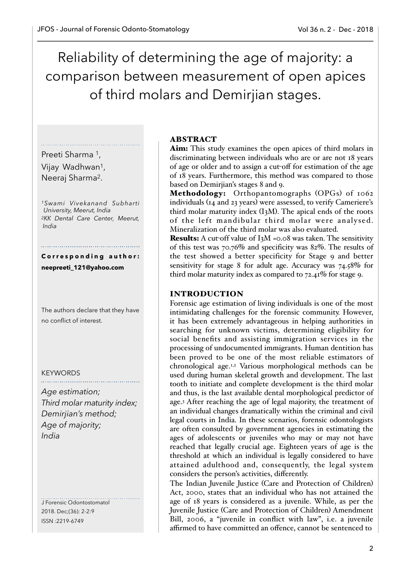Reliability of determining the age of majority: a comparison between measurement of open apices of third molars and Demirjian stages.

# Preeti Sharma 1,

Vijay Wadhwan1, Neeraj Sharma2.

*1Swami Vivekanand Subharti University, Meerut, India 2KK Dental Care Center, Meerut, India* 

**C o r r e s p o n d i n g a u t h o r : neepreeti\_121@yahoo.com**

The authors declare that they have no conflict of interest.

### **KEYWORDS**

*Age estimation; Third molar maturity index; Demirjian's method; Age of majority; India* 

J Forensic Odontostomatol 2018. Dec;(36): 2-2:9 ISSN :2219-6749

## ABSTRACT

Aim: This study examines the open apices of third molars in discriminating between individuals who are or are not 18 years of age or older and to assign a cut-off for estimation of the age of 18 years. Furthermore, this method was compared to those based on Demirjian's stages 8 and 9.

Methodology: Orthopantomographs (OPGs) of 1062 individuals (14 and 23 years) were assessed, to verify Cameriere's third molar maturity index (I3M). The apical ends of the roots of the left mandibular third molar were analysed. Mineralization of the third molar was also evaluated.

Results: A cut-off value of I3M =0.08 was taken. The sensitivity of this test was 70.76% and specificity was 82%. The results of the test showed a better specificity for Stage 9 and better sensitivity for stage 8 for adult age. Accuracy was 74.58% for third molar maturity index as compared to 72.41% for stage 9.

### INTRODUCTION

Forensic age estimation of living individuals is one of the most intimidating challenges for the forensic community. However, it has been extremely advantageous in helping authorities in searching for unknown victims, determining eligibility for social benefits and assisting immigration services in the processing of undocumented immigrants. Human dentition has been proved to be one of the most reliable estimators of chronological age.1,2 Various morphological methods can be used during human skeletal growth and development. The last tooth to initiate and complete development is the third molar and thus, is the last available dental morphological predictor of age.3 After reaching the age of legal majority, the treatment of an individual changes dramatically within the criminal and civil legal courts in India. In these scenarios, forensic odontologists are often consulted by government agencies in estimating the ages of adolescents or juveniles who may or may not have reached that legally crucial age. Eighteen years of age is the threshold at which an individual is legally considered to have attained adulthood and, consequently, the legal system considers the person's activities, differently.

The Indian Juvenile Justice (Care and Protection of Children) Act, 2000, states that an individual who has not attained the age of 18 years is considered as a juvenile. While, as per the Juvenile Justice (Care and Protection of Children) Amendment Bill, 2006, a "juvenile in conflict with law", i.e. a juvenile affirmed to have committed an offence, cannot be sentenced to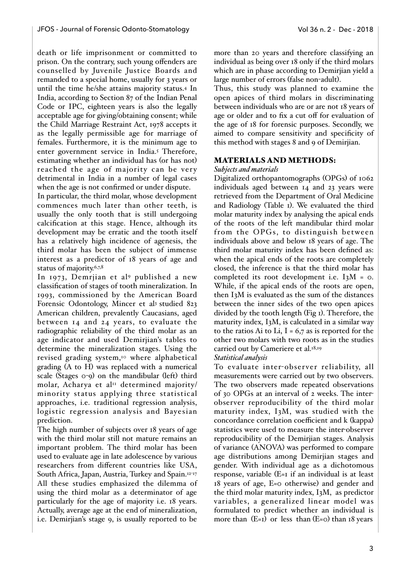death or life imprisonment or committed to prison. On the contrary, such young offenders are counselled by Juvenile Justice Boards and remanded to a special home, usually for 3 years or until the time he/she attains majority status.4 In India, according to Section 87 of the Indian Penal Code or IPC, eighteen years is also the legally acceptable age for giving/obtaining consent; while the Child Marriage Restraint Act, 1978 accepts it as the legally permissible age for marriage of females. Furthermore, it is the minimum age to enter government service in India.5 Therefore, estimating whether an individual has (or has not) reached the age of majority can be very detrimental in India in a number of legal cases when the age is not confirmed or under dispute.

In particular, the third molar, whose development commences much later than other teeth, is usually the only tooth that is still undergoing calcification at this stage. Hence, although its development may be erratic and the tooth itself has a relatively high incidence of agenesis, the third molar has been the subject of immense interest as a predictor of 18 years of age and status of majority.6,7,8

In 1973, Demrjian et al<sup>9</sup> published a new classification of stages of tooth mineralization. In 1993, commissioned by the American Board Forensic Odontology, Mincer et al<sup>3</sup> studied 823 American children, prevalently Caucasians, aged between 14 and 24 years, to evaluate the radiographic reliability of the third molar as an age indicator and used Demirjian's tables to determine the mineralization stages. Using the revised grading system,10 where alphabetical grading (A to H) was replaced with a numerical scale (Stages 0-9) on the mandibular (left) third molar, Acharya et al<sup>11</sup> determined majority/ minority status applying three statistical approaches, i.e. traditional regression analysis, logistic regression analysis and Bayesian prediction.

The high number of subjects over 18 years of age with the third molar still not mature remains an important problem. The third molar has been used to evaluate age in late adolescence by various researchers from different countries like USA, South Africa, Japan, Austria, Turkey and Spain.12-<sup>17</sup> All these studies emphasized the dilemma of using the third molar as a determinator of age particularly for the age of majority i.e. 18 years. Actually, average age at the end of mineralization, i.e. Demirjian's stage 9, is usually reported to be

more than 20 years and therefore classifying an individual as being over 18 only if the third molars which are in phase according to Demirjian yield a large number of errors (false non-adult).

Thus, this study was planned to examine the open apices of third molars in discriminating between individuals who are or are not 18 years of age or older and to fix a cut off for evaluation of the age of 18 for forensic purposes. Secondly, we aimed to compare sensitivity and specificity of this method with stages 8 and 9 of Demirjian.

### MATERIALS AND METHODS:

### *Subjects and materials*

Digitalized orthopantomographs (OPGs) of 1062 individuals aged between 14 and 23 years were retrieved from the Department of Oral Medicine and Radiology (Table 1). We evaluated the third molar maturity index by analysing the apical ends of the roots of the left mandibular third molar from the OPGs, to distinguish between individuals above and below 18 years of age. The third molar maturity index has been defined as: when the apical ends of the roots are completely closed, the inference is that the third molar has completed its root development i.e.  $I_3M = 0$ . While, if the apical ends of the roots are open, then I3M is evaluated as the sum of the distances between the inner sides of the two open apices divided by the tooth length (Fig 1). Therefore, the maturity index, I3M, is calculated in a similar way to the ratios Ai to Li,  $I = 6.7$  as is reported for the other two molars with two roots as in the studies carried out by Cameriere et al.<sup>18,19</sup>

### *Statistical analysis*

To evaluate inter-observer reliability, all measurements were carried out by two observers. The two observers made repeated observations of 30 OPGs at an interval of 2 weeks. The interobserver reproducibility of the third molar maturity index, I3M, was studied with the concordance correlation coefficient and k (kappa) statistics were used to measure the inter-observer reproducibility of the Demirjian stages. Analysis of variance (ANOVA) was performed to compare age distributions among Demirjian stages and gender. With individual age as a dichotomous response, variable (E=1 if an individual is at least 18 years of age, E=0 otherwise) and gender and the third molar maturity index, I3M, as predictor variables, a generalized linear model was formulated to predict whether an individual is more than  $(E=1)$  or less than  $(E=0)$  than 18 years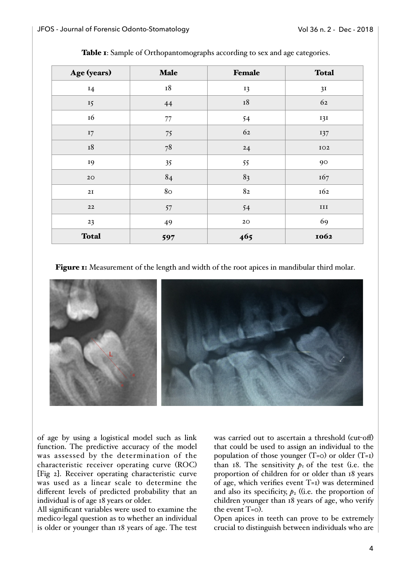| Age (years)   | Male        | Female        | <b>Total</b> |
|---------------|-------------|---------------|--------------|
| 14            | $^{\rm I8}$ | 13            | 3I           |
| 15            | 44          | $^{\rm I8}$   | 62           |
| 16            | $77\,$      | 54            | 131          |
| 17            | 75          | 62            | 137          |
| $\mathbf{I8}$ | $78\,$      | 24            | IO2          |
| 19            | 35          | 55            | 90           |
| $2\textrm{O}$ | 84          | 83            | 167          |
| 2I            | 80          | $8\mathrm{2}$ | 162          |
| $\bf{22}$     | $57\,$      | 54            | $\;$ III     |
| 23            | 49          | $2\textrm{O}$ | 69           |
| <b>Total</b>  | 597         | 465           | 1062         |

Table 1: Sample of Orthopantomographs according to sex and age categories.

Figure 1: Measurement of the length and width of the root apices in mandibular third molar.



of age by using a logistical model such as link function. The predictive accuracy of the model was assessed by the determination of the characteristic receiver operating curve (ROC) [Fig 2]. Receiver operating characteristic curve was used as a linear scale to determine the different levels of predicted probability that an individual is of age 18 years or older.

All significant variables were used to examine the medico-legal question as to whether an individual is older or younger than 18 years of age. The test

was carried out to ascertain a threshold (cut-off) that could be used to assign an individual to the population of those younger  $(T=0)$  or older  $(T=1)$ than 18. The sensitivity  $p_1$  of the test (i.e. the proportion of children for or older than 18 years of age, which verifies event T=1) was determined and also its specificity,  $p_2$  ((i.e. the proportion of children younger than 18 years of age, who verify the event T=0).

Open apices in teeth can prove to be extremely crucial to distinguish between individuals who are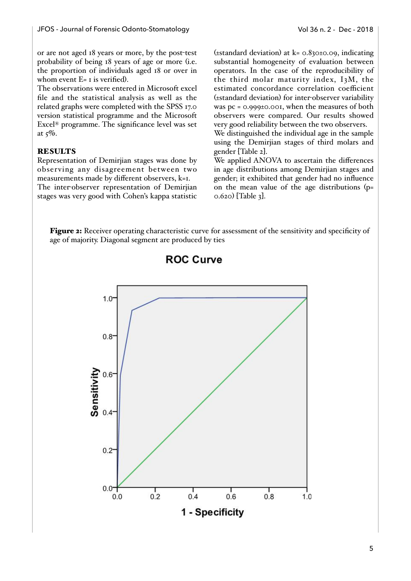or are not aged 18 years or more, by the post-test probability of being 18 years of age or more (i.e. the proportion of individuals aged 18 or over in whom event  $E= I$  is verified).

The observations were entered in Microsoft excel file and the statistical analysis as well as the related graphs were completed with the SPSS 17.0 version statistical programme and the Microsoft Excel® programme. The significance level was set at  $5\%$ .

## **RESULTS**

Representation of Demirjian stages was done by observing any disagreement between two measurements made by different observers, k=1. The inter-observer representation of Demirjian stages was very good with Cohen's kappa statistic

(±standard deviation) at k= 0.830±0.09, indicating substantial homogeneity of evaluation between operators. In the case of the reproducibility of the third molar maturity index, I3M, the estimated concordance correlation coefficient (±standard deviation) for inter-observer variability was pc = 0.999±0.001, when the measures of both observers were compared. Our results showed very good reliability between the two observers.

We distinguished the individual age in the sample using the Demirjian stages of third molars and gender [Table 2].

We applied ANOVA to ascertain the differences in age distributions among Demirjian stages and gender; it exhibited that gender had no influence on the mean value of the age distributions (p= 0.620) [Table 3].

Figure 2: Receiver operating characteristic curve for assessment of the sensitivity and specificity of age of majority. Diagonal segment are produced by ties



## **ROC Curve**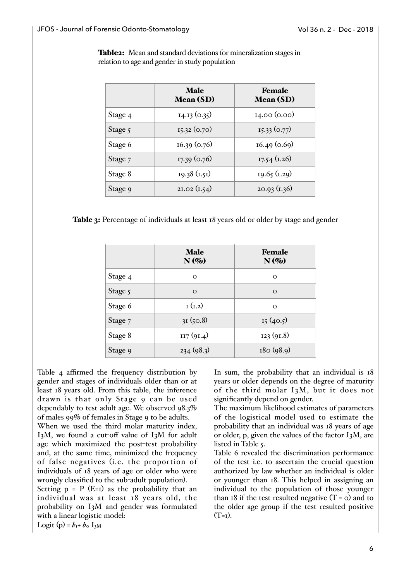Table2: Mean and standard deviations for mineralization stages in relation to age and gender in study population

|         | <b>Male</b><br><b>Mean (SD)</b> | Female<br><b>Mean (SD)</b> |
|---------|---------------------------------|----------------------------|
| Stage 4 | 14.13(0.35)                     | 14.00 (0.00)               |
| Stage 5 | $I$ 5.32 (0.70)                 | 15.33(0.77)                |
| Stage 6 | 16.39(0.76)                     | 16.49(0.69)                |
| Stage 7 | 17.39(0.76)                     | $17.54$ (1.26)             |
| Stage 8 | $19.38 \text{ } (1.51)$         | $19.65$ (1.29)             |
| Stage 9 | 2I.02 (I.54)                    | 20.93(1.36)                |

Table 3: Percentage of individuals at least 18 years old or older by stage and gender

|         | <b>Male</b><br>$N(\%)$ | <b>Female</b><br>$N(\%)$ |
|---------|------------------------|--------------------------|
| Stage 4 | $\Omega$               | $\Omega$                 |
| Stage 5 | $\circ$                | $\circ$                  |
| Stage 6 | I(L.2)                 | $\circ$                  |
| Stage 7 | 31(50.8)               | 15(40.5)                 |
| Stage 8 | II7(9I.4)              | 123(91.8)                |
| Stage 9 | 234(98.3)              | 180(98.9)                |

Table 4 affirmed the frequency distribution by gender and stages of individuals older than or at least 18 years old. From this table, the inference drawn is that only Stage 9 can be used dependably to test adult age. We observed 98.3% of males 99% of females in Stage 9 to be adults.

When we used the third molar maturity index, I3M, we found a cut-off value of I3M for adult age which maximized the post-test probability and, at the same time, minimized the frequency of false negatives (i.e. the proportion of individuals of 18 years of age or older who were wrongly classified to the sub-adult population).

Setting  $p = P$  (E=1) as the probability that an individual was at least 18 years old, the probability on I3M and gender was formulated with a linear logistic model:

Logit (p) =  $b_{1}$ +  $b_{0}$  I<sub>3M</sub>

In sum, the probability that an individual is 18 years or older depends on the degree of maturity of the third molar I3M, but it does not significantly depend on gender.

The maximum likelihood estimates of parameters of the logistical model used to estimate the probability that an individual was 18 years of age or older, p, given the values of the factor I3M, are listed in Table 5.

Table 6 revealed the discrimination performance of the test i.e. to ascertain the crucial question authorized by law whether an individual is older or younger than 18. This helped in assigning an individual to the population of those younger than 18 if the test resulted negative  $(T = 0)$  and to the older age group if the test resulted positive  $(T=1)$ .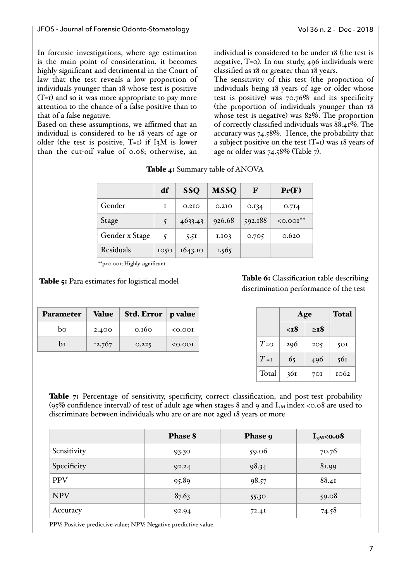In forensic investigations, where age estimation is the main point of consideration, it becomes highly significant and detrimental in the Court of law that the test reveals a low proportion of individuals younger than 18 whose test is positive (T=1) and so it was more appropriate to pay more attention to the chance of a false positive than to that of a false negative.

Based on these assumptions, we affirmed that an individual is considered to be 18 years of age or older (the test is positive,  $T=T$ ) if I<sub>3</sub>M is lower than the cut-off value of 0.08; otherwise, an

individual is considered to be under 18 (the test is negative, T=0). In our study, 496 individuals were classified as 18 or greater than 18 years.

The sensitivity of this test (the proportion of individuals being 18 years of age or older whose test is positive) was 70.76% and its specificity (the proportion of individuals younger than 18 whose test is negative) was 82%. The proportion of correctly classified individuals was 88.41%. The accuracy was 74.58%. Hence, the probability that a subject positive on the test  $(T=1)$  was 18 years of age or older was 74.58% (Table 7).

|                  | df   | <b>SSO</b>        | <b>MSSQ</b>       | F       | Pr(F)      |
|------------------|------|-------------------|-------------------|---------|------------|
| Gender           | T    | 0.2I <sub>O</sub> | 0.2I <sub>O</sub> | 0.134   | 0.7I4      |
| Stage            |      | 4633.43           | 926.68            | 592.188 | $50.001**$ |
| Gender x Stage   | 5    | 5.5I              | I.IO3             | 0.705   | 0.620      |
| <b>Residuals</b> | 1050 | 1643.10           | 1.565             |         |            |

#### Table 4: Summary table of ANOVA

\*\*p<0.001; Highly significant

#### Table 5: Para estimates for logistical model

| <b>Parameter</b> | Value    | Std. Error   p value |         |
|------------------|----------|----------------------|---------|
| bo               | 2.400    | 0.160                | 0.001   |
| bт               | $-2.767$ | 0.225                | < 0.001 |

Table 6: Classification table describing discrimination performance of the test

|         | Age |             | <b>Total</b> |
|---------|-----|-------------|--------------|
|         | <т8 | $\geq$ $18$ |              |
| $T = 0$ | 296 | 205         | 50I          |
| $T = I$ | 65  | 496         | 561          |
| Total   | 36I | 70 I        | 1062         |

Table 7: Percentage of sensitivity, specificity, correct classification, and post-test probability (95% confidence interval) of test of adult age when stages 8 and 9 and  $I_{3M}$  index <0.08 are used to discriminate between individuals who are or are not aged 18 years or more

|             | <b>Phase 8</b> | Phase 9 | $I3M<$<br>0.08 |
|-------------|----------------|---------|----------------|
| Sensitivity | 93.30          | 59.06   | 70.76          |
| Specificity | 92.24          | 98.34   | 81.99          |
| <b>PPV</b>  | 95.89          | 98.57   | 88.41          |
| <b>NPV</b>  | 87.63          | 55.30   | 59.08          |
| Accuracy    | 92.94          | 72.41   | 74.58          |

 PPV: Positive predictive value; NPV: Negative predictive value.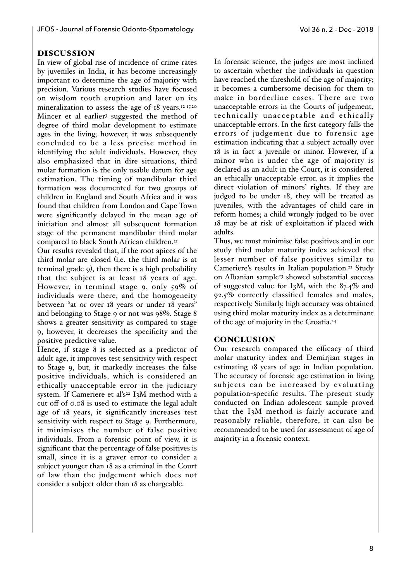## DISCUSSION

In view of global rise of incidence of crime rates by juveniles in India, it has become increasingly important to determine the age of majority with precision. Various research studies have focused on wisdom tooth eruption and later on its mineralization to assess the age of 18 years.<sup>12-17,20</sup> Mincer et al earlier3 suggested the method of degree of third molar development to estimate ages in the living; however, it was subsequently concluded to be a less precise method in identifying the adult individuals. However, they also emphasized that in dire situations, third molar formation is the only usable datum for age estimation. The timing of mandibular third formation was documented for two groups of children in England and South Africa and it was found that children from London and Cape Town were significantly delayed in the mean age of initiation and almost all subsequent formation stage of the permanent mandibular third molar compared to black South African children.<sup>21</sup>

Our results revealed that, if the root apices of the third molar are closed (i.e. the third molar is at terminal grade 9), then there is a high probability that the subject is at least 18 years of age. However, in terminal stage 9, only 59% of individuals were there, and the homogeneity between "at or over 18 years or under 18 years" and belonging to Stage 9 or not was 98%. Stage 8 shows a greater sensitivity as compared to stage 9, however, it decreases the specificity and the positive predictive value.

Hence, if stage 8 is selected as a predictor of adult age, it improves test sensitivity with respect to Stage 9, but, it markedly increases the false positive individuals, which is considered an ethically unacceptable error in the judiciary system. If Cameriere et al's<sup>22</sup> I3M method with a cut-off of 0.08 is used to estimate the legal adult age of 18 years, it significantly increases test sensitivity with respect to Stage 9. Furthermore, it minimises the number of false positive individuals. From a forensic point of view, it is significant that the percentage of false positives is small, since it is a graver error to consider a subject younger than 18 as a criminal in the Court of law than the judgement which does not consider a subject older than 18 as chargeable.

In forensic science, the judges are most inclined to ascertain whether the individuals in question have reached the threshold of the age of majority; it becomes a cumbersome decision for them to make in borderline cases. There are two unacceptable errors in the Courts of judgement, technically unacceptable and ethically unacceptable errors. In the first category falls the errors of judgement due to forensic age estimation indicating that a subject actually over 18 is in fact a juvenile or minor. However, if a minor who is under the age of majority is declared as an adult in the Court, it is considered an ethically unacceptable error, as it implies the direct violation of minors' rights. If they are judged to be under 18, they will be treated as juveniles, with the advantages of child care in reform homes; a child wrongly judged to be over 18 may be at risk of exploitation if placed with adults.

Thus, we must minimise false positives and in our study third molar maturity index achieved the lesser number of false positives similar to Cameriere's results in Italian population.22 Study on Albanian sample<sup>23</sup> showed substantial success of suggested value for I<sub>3</sub>M, with the  $87.4\%$  and 92.5% correctly classified females and males, respectively. Similarly, high accuracy was obtained using third molar maturity index as a determinant of the age of majority in the Croatia.24

### **CONCLUSION**

Our research compared the efficacy of third molar maturity index and Demirjian stages in estimating 18 years of age in Indian population. The accuracy of forensic age estimation in living subjects can be increased by evaluating population-specific results. The present study conducted on Indian adolescent sample proved that the I3M method is fairly accurate and reasonably reliable, therefore, it can also be recommended to be used for assessment of age of majority in a forensic context.